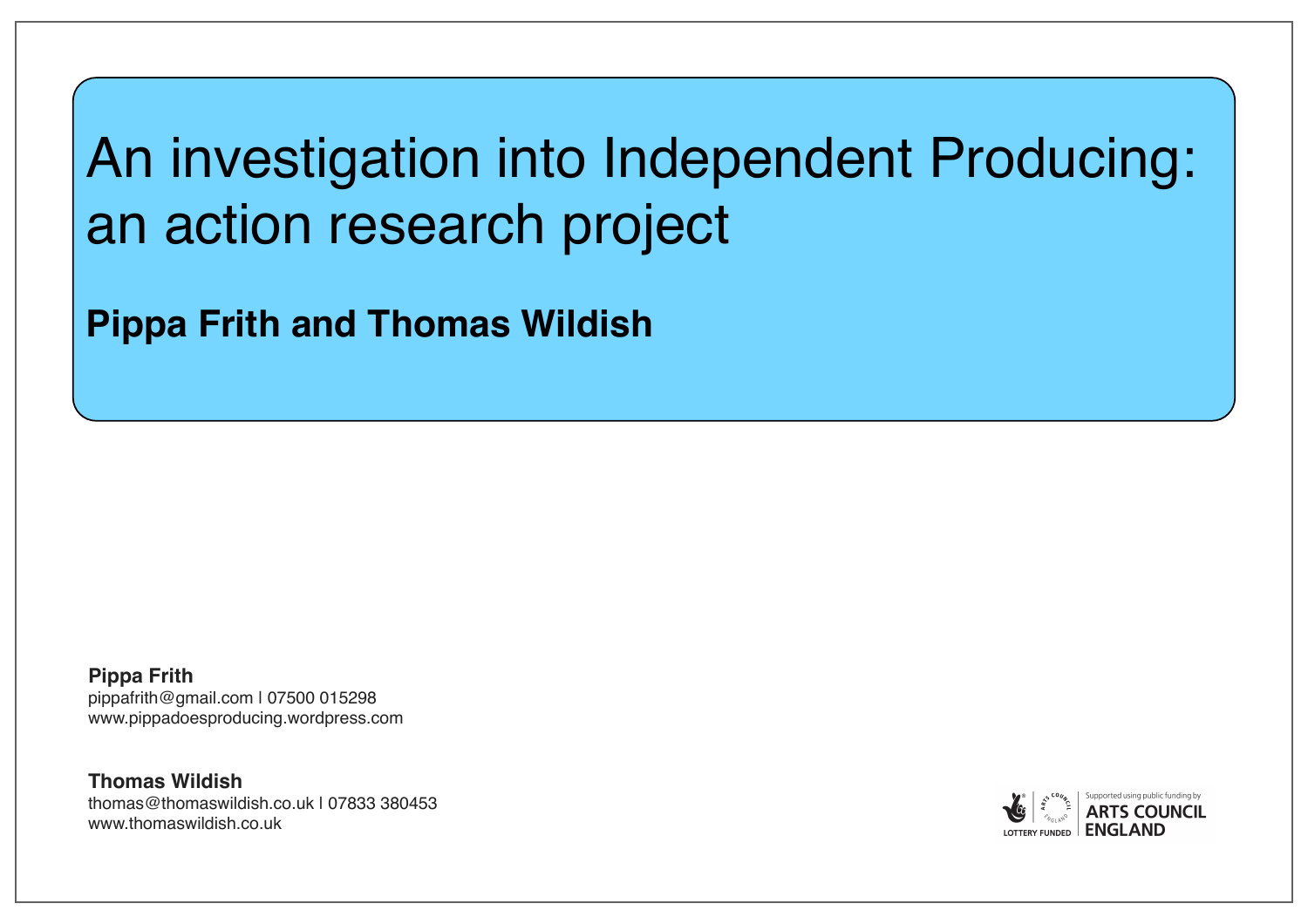# An investigation into Independent Producing: an action research project

**Pippa Frith and Thomas Wildish**

**Pippa Frith** pippafrith@gmail.com | 07500 015298 www.pippadoesproducing.wordpress.com

**Thomas Wildish** thomas@thomaswildish.co.uk | 07833 380453 www.thomaswildish.co.uk

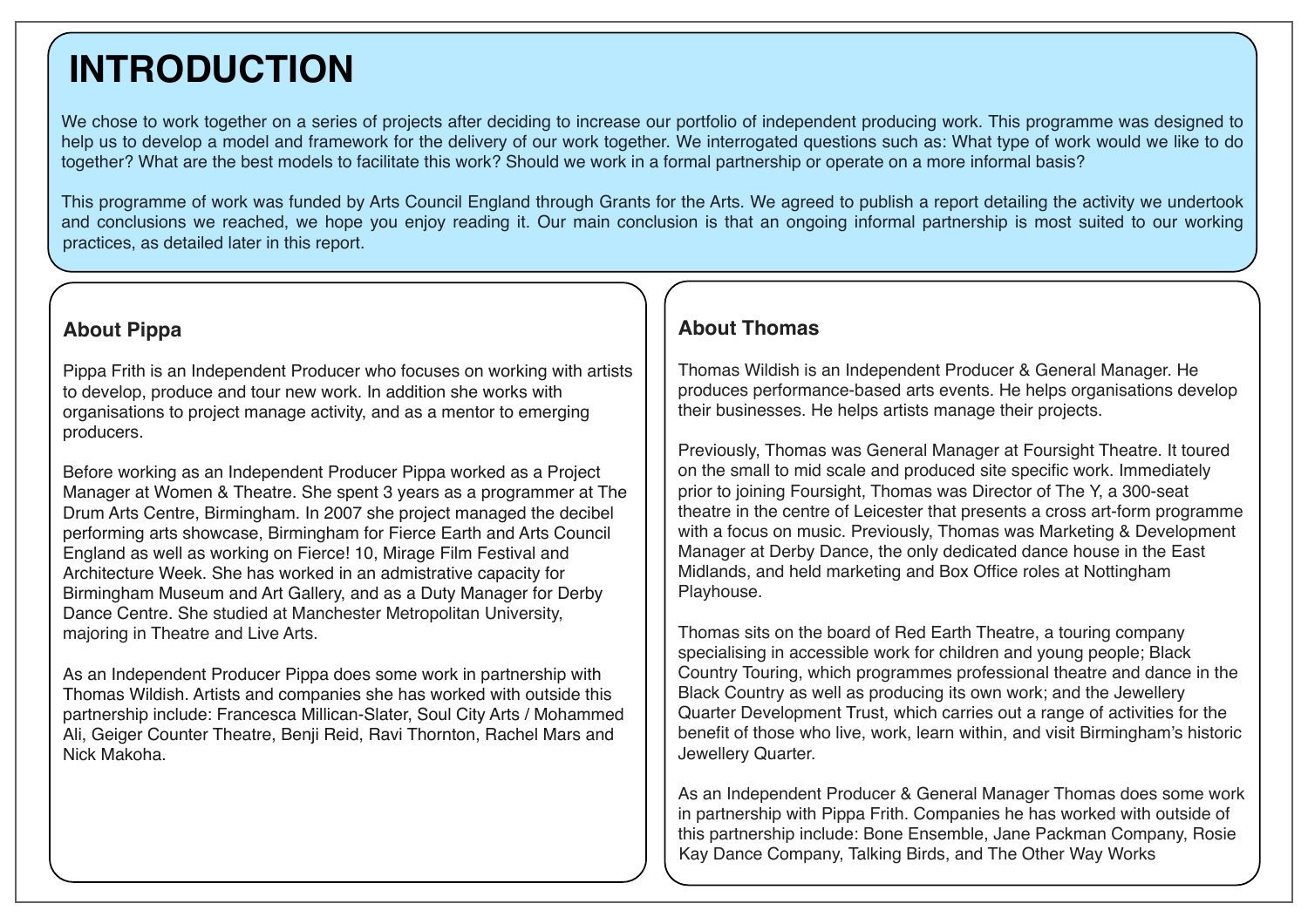## **INTRODUCTION**

We chose to work together on a series of projects after deciding to increase our portfolio of independent producing work. This programme was designed to help us to develop a model and framework for the delivery of our work together. We interrogated questions such as: What type of work would we like to do together? What are the best models to facilitate this work? Should we work in a formal partnership or operate on a more informal basis?

This programme of work was funded by Arts Council England through Grants for the Arts. We agreed to publish a report detailing the activity we undertook and conclusions we reached, we hope you enjoy reading it. Our main conclusion is that an ongoing informal partnership is most suited to our working practices, as detailed later in this report.

#### **About Pippa**

Pippa Frith is an Independent Producer who focuses on working with artists to develop, produce and tour new work. In addition she works with organisations to project manage activity, and as a mentor to emerging producers.

Before working as an Independent Producer Pippa worked as a Project Manager at Women & Theatre. She spent 3 years as a programmer at The Drum Arts Centre, Birmingham. In 2007 she project managed the decibel performing arts showcase, Birmingham for Fierce Earth and Arts Council England as well as working on Fierce! 10, Mirage Film Festival and Architecture Week. She has worked in an admistrative capacity for Birmingham Museum and Art Gallery, and as a Duty Manager for Derby Dance Centre. She studied at Manchester Metropolitan University, majoring in Theatre and Live Arts.

As an Independent Producer Pippa does some work in partnership with Thomas Wildish. Artists and companies she has worked with outside this partnership include: Francesca Millican-Slater, Soul City Arts / Mohammed Ali, Geiger Counter Theatre, Benji Reid, Ravi Thornton, Rachel Mars and Nick Makoha.

#### **About Thomas**

Thomas Wildish is an Independent Producer & General Manager. He produces performance-based arts events. He helps organisations develop their businesses. He helps artists manage their projects.

Previously, Thomas was General Manager at Foursight Theatre. It toured on the small to mid scale and produced site specific work. Immediately prior to joining Foursight, Thomas was Director of The Y, a 300-seat theatre in the centre of Leicester that presents a cross art-form programme with a focus on music. Previously, Thomas was Marketing & Development Manager at Derby Dance, the only dedicated dance house in the East Midlands, and held marketing and Box Office roles at Nottingham Playhouse.

Thomas sits on the board of Red Earth Theatre, a touring company specialising in accessible work for children and young people; Black Country Touring, which programmes professional theatre and dance in the Black Country as well as producing its own work; and the Jewellery Quarter Development Trust, which carries out a range of activities for the benefit of those who live, work, learn within, and visit Birmingham's historic Jewellery Quarter.

As an Independent Producer & General Manager Thomas does some work in partnership with Pippa Frith. Companies he has worked with outside of this partnership include: Bone Ensemble, Jane Packman Company, Rosie Kay Dance Company, Talking Birds, and The Other Way Works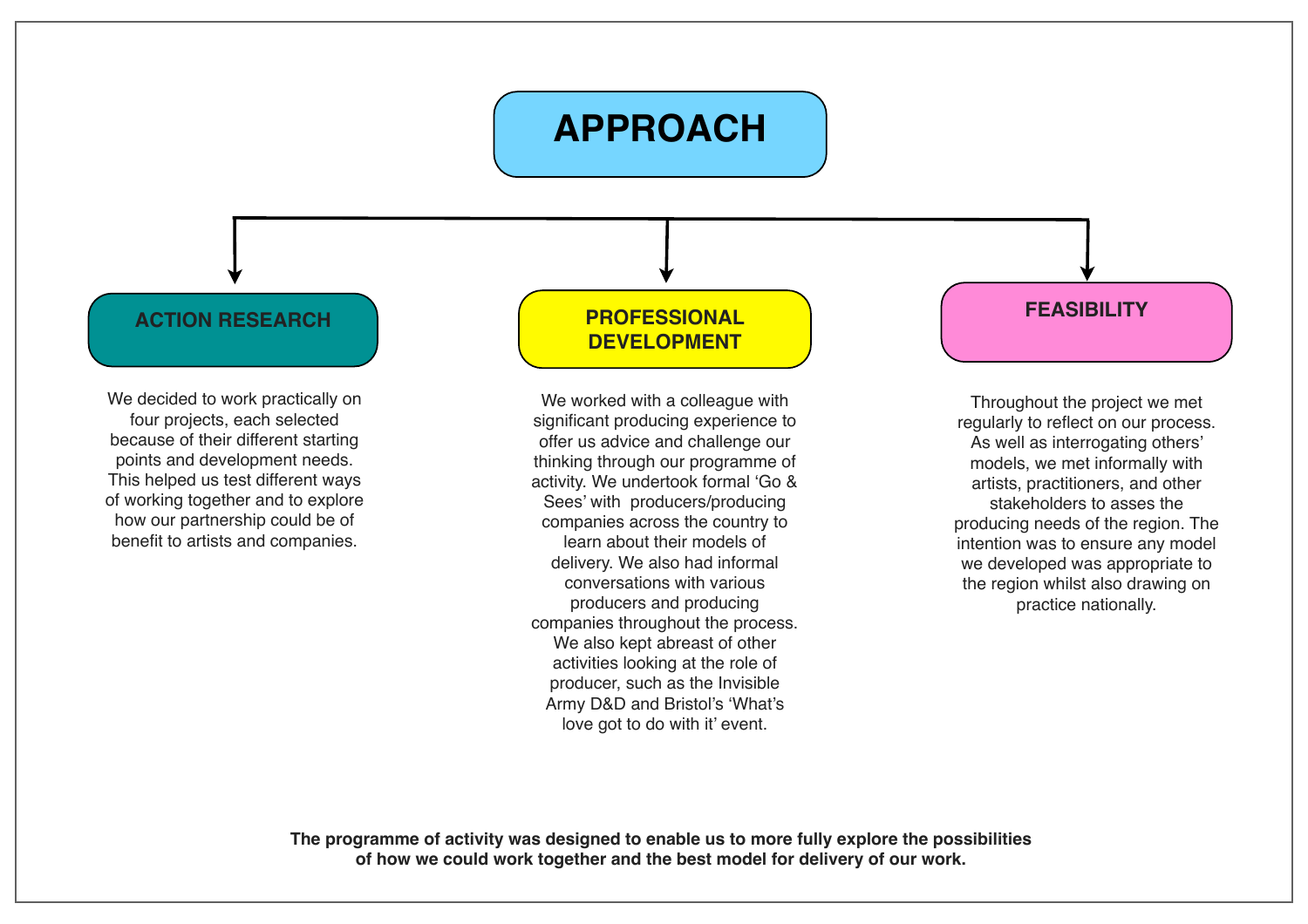## **APPROACH**

#### **ACTION RESEARCH**

We decided to work practically on four projects, each selected because of their different starting points and development needs. This helped us test different ways of working together and to explore how our partnership could be of benefit to artists and companies.

#### **FEASIBILITY PROFESSIONAL DEVELOPMENT**

We worked with a colleague with significant producing experience to offer us advice and challenge our thinking through our programme of activity. We undertook formal 'Go & Sees' with producers/producing companies across the country to learn about their models of delivery. We also had informal conversations with various producers and producing companies throughout the process. We also kept abreast of other activities looking at the role of producer, such as the Invisible Army D&D and Bristol's 'What's love got to do with it' event.

Throughout the project we met regularly to reflect on our process. As well as interrogating others' models, we met informally with artists, practitioners, and other stakeholders to asses the producing needs of the region. The intention was to ensure any model we developed was appropriate to the region whilst also drawing on practice nationally.

**The programme of activity was designed to enable us to more fully explore the possibilities of how we could work together and the best model for delivery of our work.**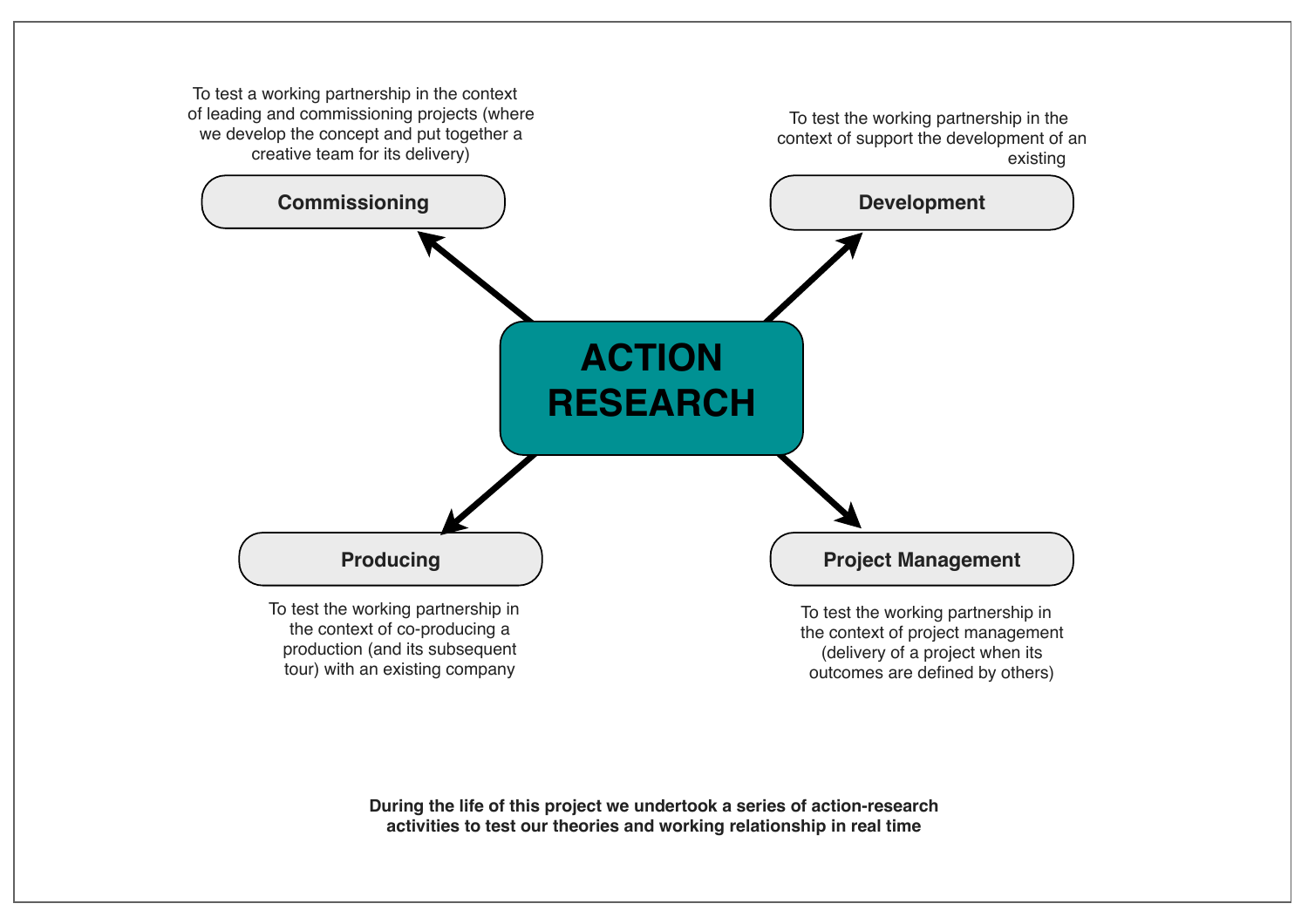

**During the life of this project we undertook a series of action-research activities to test our theories and working relationship in real time**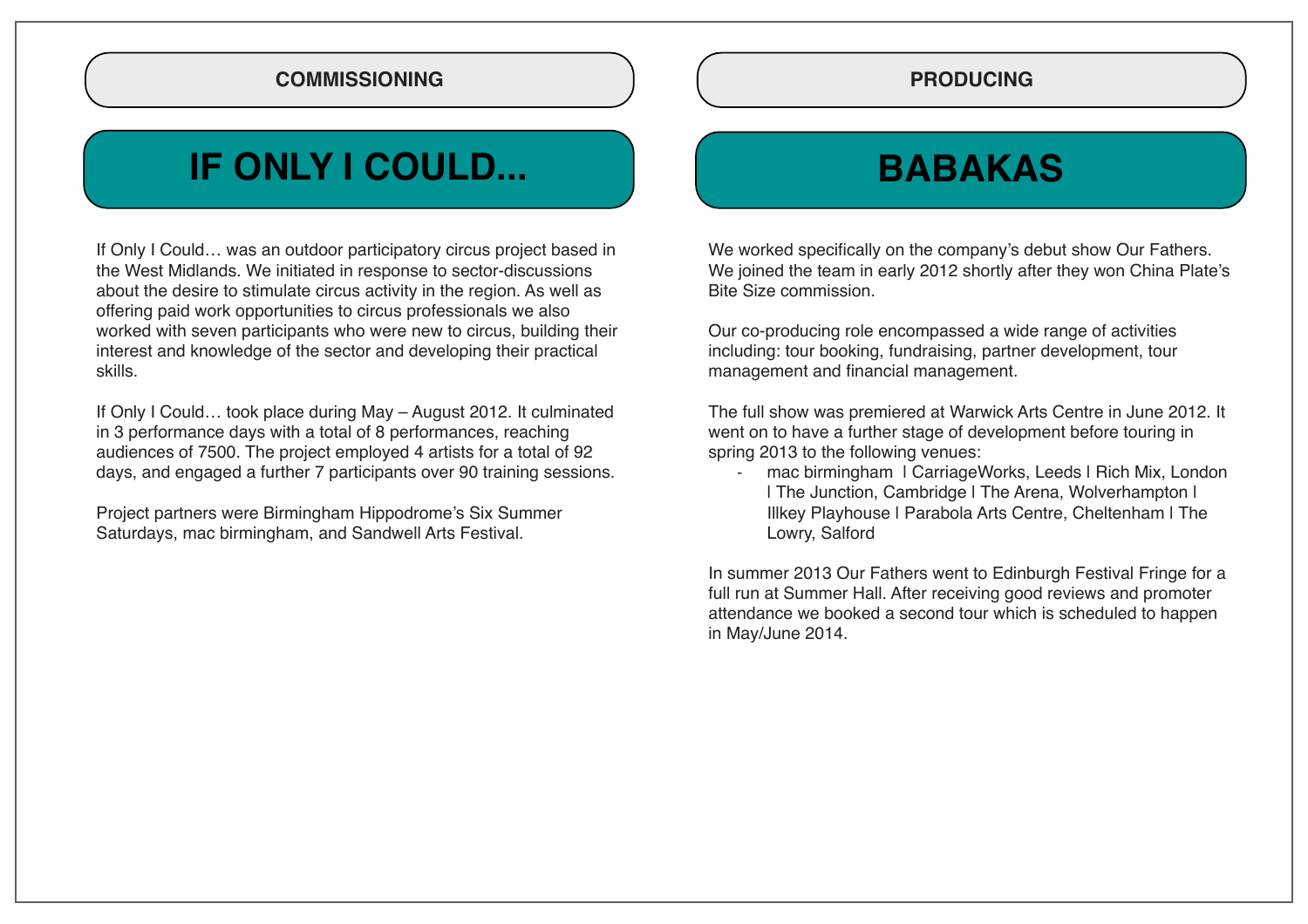#### **COMMISSIONING**

## **IF ONLY I COULD...**

If Only I Could… was an outdoor participatory circus project based in the West Midlands. We initiated in response to sector-discussions about the desire to stimulate circus activity in the region. As well as offering paid work opportunities to circus professionals we also worked with seven participants who were new to circus, building their interest and knowledge of the sector and developing their practical skills.

If Only I Could… took place during May – August 2012. It culminated in 3 performance days with a total of 8 performances, reaching audiences of 7500. The project employed 4 artists for a total of 92 days, and engaged a further 7 participants over 90 training sessions.

Project partners were Birmingham Hippodrome's Six Summer Saturdays, mac birmingham, and Sandwell Arts Festival.

#### **PRODUCING**

## **BABAKAS**

We worked specifically on the company's debut show Our Fathers. We joined the team in early 2012 shortly after they won China Plate's Bite Size commission.

Our co-producing role encompassed a wide range of activities including: tour booking, fundraising, partner development, tour management and financial management.

The full show was premiered at Warwick Arts Centre in June 2012. It went on to have a further stage of development before touring in spring 2013 to the following venues:

mac birmingham | CarriageWorks, Leeds | Rich Mix, London | The Junction, Cambridge | The Arena, Wolverhampton | Illkey Playhouse | Parabola Arts Centre, Cheltenham | The Lowry, Salford

In summer 2013 Our Fathers went to Edinburgh Festival Fringe for a full run at Summer Hall. After receiving good reviews and promoter attendance we booked a second tour which is scheduled to happen in May/June 2014.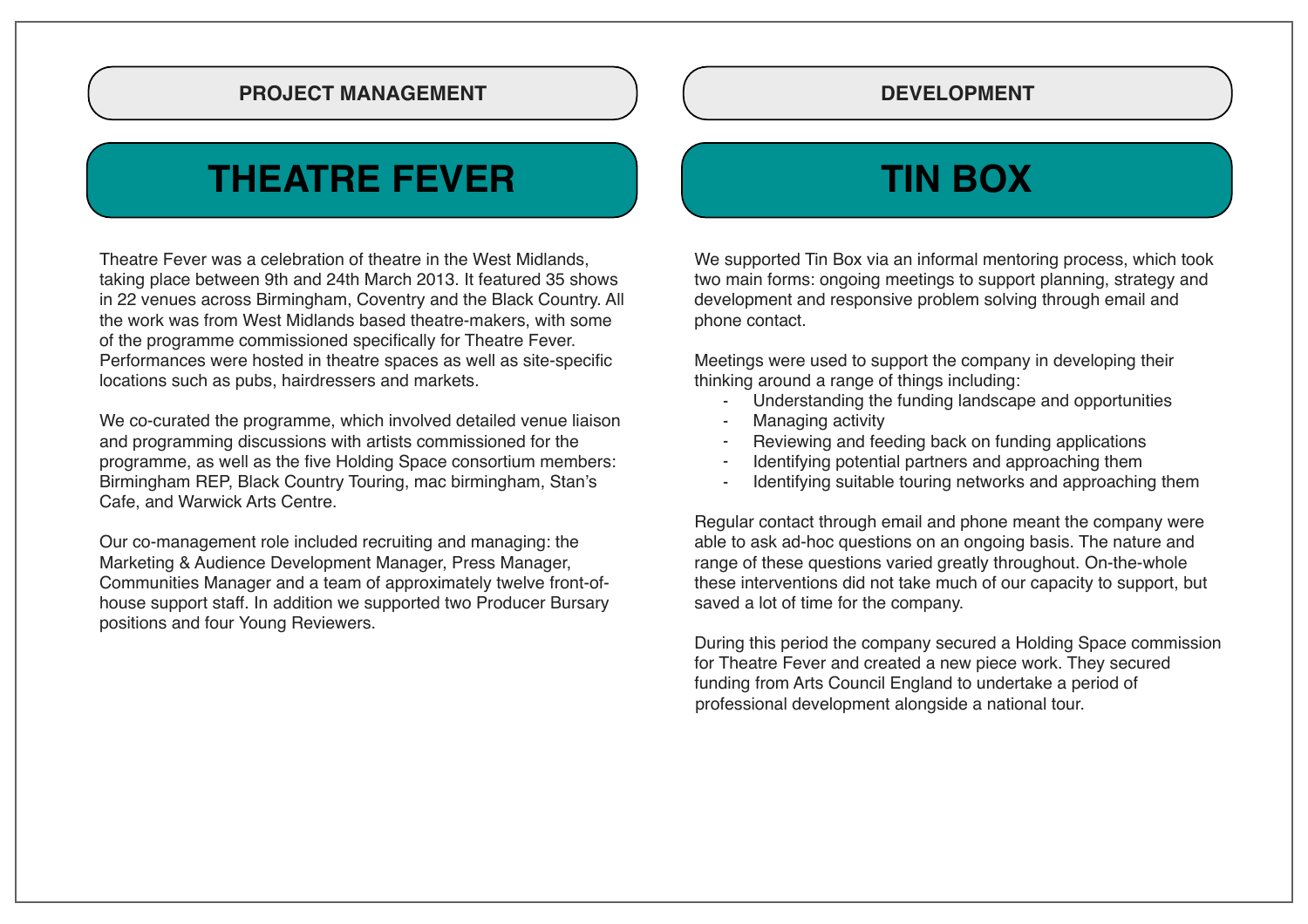#### **PROJECT MANAGEMENT DEVELOPMENT**

## **THEATRE FEVER TIN BOX**

Theatre Fever was a celebration of theatre in the West Midlands, taking place between 9th and 24th March 2013. It featured 35 shows in 22 venues across Birmingham, Coventry and the Black Country. All the work was from West Midlands based theatre-makers, with some of the programme commissioned specifically for Theatre Fever. Performances were hosted in theatre spaces as well as site-specific locations such as pubs, hairdressers and markets.

We co-curated the programme, which involved detailed venue liaison and programming discussions with artists commissioned for the programme, as well as the five Holding Space consortium members: Birmingham REP, Black Country Touring, mac birmingham, Stan's Cafe, and Warwick Arts Centre.

Our co-management role included recruiting and managing: the Marketing & Audience Development Manager, Press Manager, Communities Manager and a team of approximately twelve front-ofhouse support staff. In addition we supported two Producer Bursary positions and four Young Reviewers.

We supported Tin Box via an informal mentoring process, which took two main forms: ongoing meetings to support planning, strategy and development and responsive problem solving through email and phone contact.

Meetings were used to support the company in developing their thinking around a range of things including:

- Understanding the funding landscape and opportunities
- Managing activity
- Reviewing and feeding back on funding applications
- Identifying potential partners and approaching them
- Identifying suitable touring networks and approaching them

Regular contact through email and phone meant the company were able to ask ad-hoc questions on an ongoing basis. The nature and range of these questions varied greatly throughout. On-the-whole these interventions did not take much of our capacity to support, but saved a lot of time for the company.

During this period the company secured a Holding Space commission for Theatre Fever and created a new piece work. They secured funding from Arts Council England to undertake a period of professional development alongside a national tour.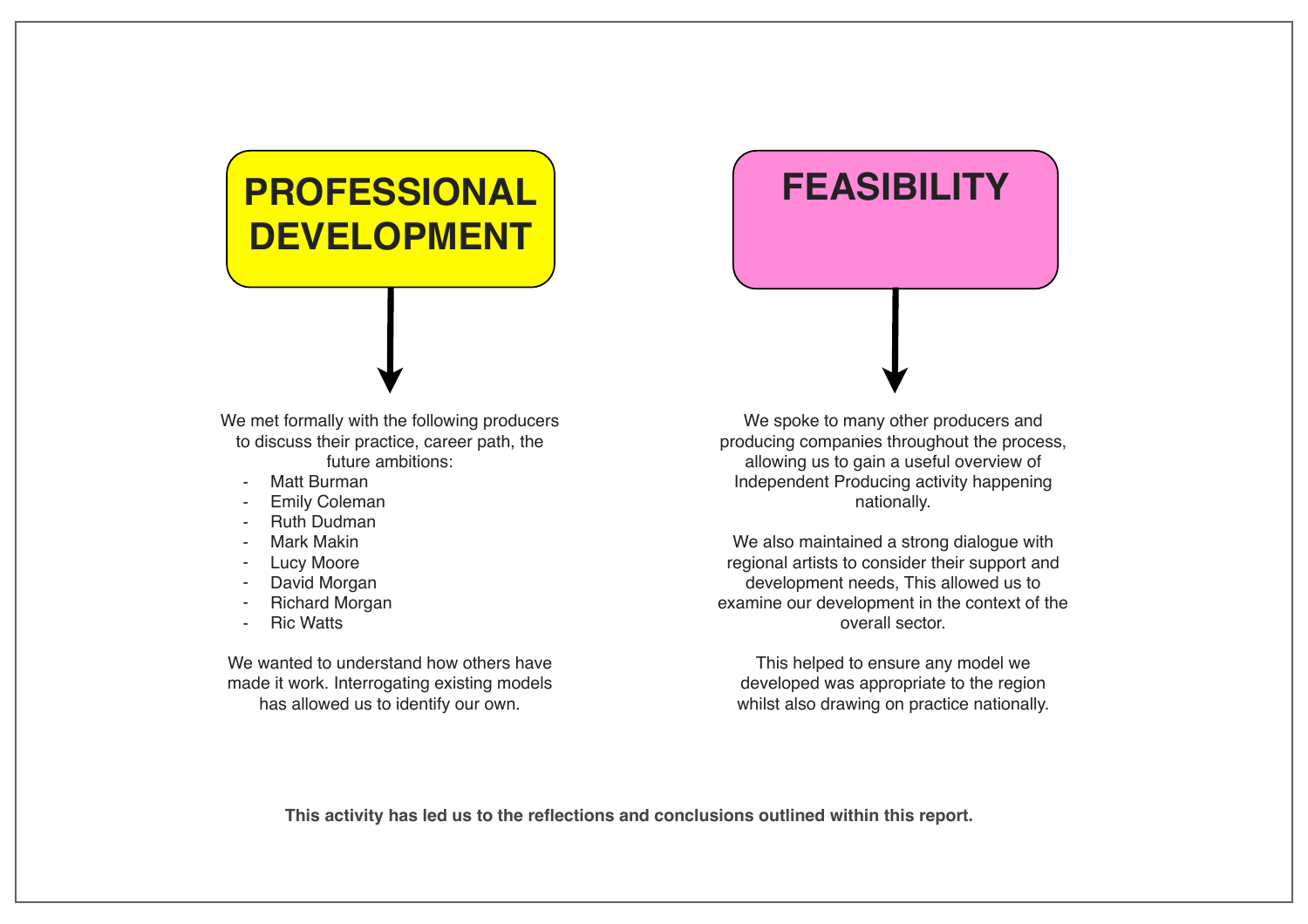## **PROFESSIONAL DEVELOPMENT**

## **FEASIBILITY**

We met formally with the following producers to discuss their practice, career path, the future ambitions:

- Matt Burman
- Emily Coleman
- Ruth Dudman
- Mark Makin
- **Lucy Moore**
- David Morgan
- **Richard Morgan**
- **Ric Watts**

We wanted to understand how others have made it work. Interrogating existing models has allowed us to identify our own.

We spoke to many other producers and producing companies throughout the process, allowing us to gain a useful overview of Independent Producing activity happening nationally.

We also maintained a strong dialogue with regional artists to consider their support and development needs, This allowed us to examine our development in the context of the overall sector.

This helped to ensure any model we developed was appropriate to the region whilst also drawing on practice nationally.

**This activity has led us to the reflections and conclusions outlined within this report.**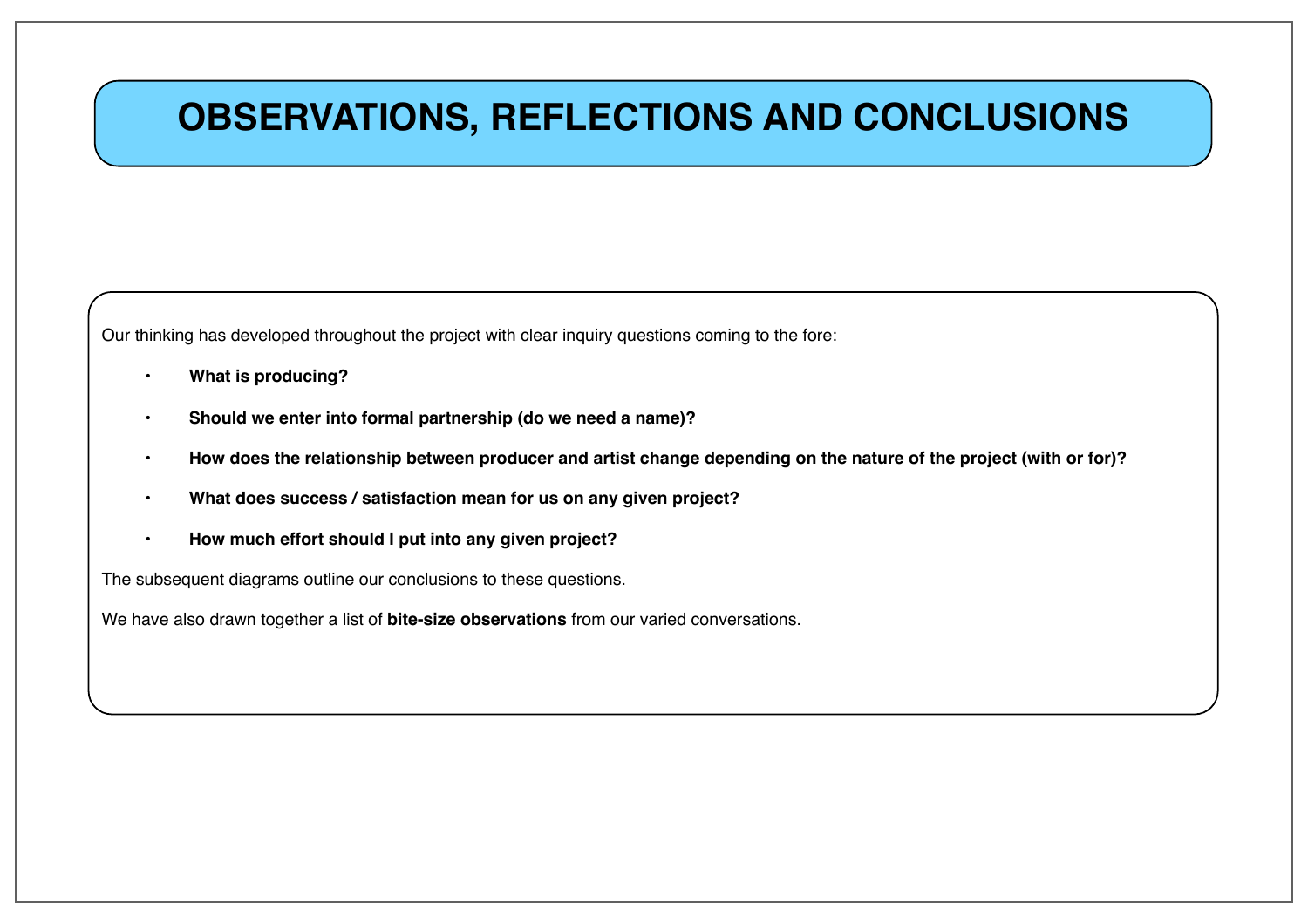## **OBSERVATIONS, REFLECTIONS AND CONCLUSIONS**

Our thinking has developed throughout the project with clear inquiry questions coming to the fore:

- **What is producing?**
- **Should we enter into formal partnership (do we need a name)?**
- **How does the relationship between producer and artist change depending on the nature of the project (with or for)?**
- **What does success / satisfaction mean for us on any given project?**
- **How much effort should I put into any given project?**

The subsequent diagrams outline our conclusions to these questions.

We have also drawn together a list of **bite-size observations** from our varied conversations.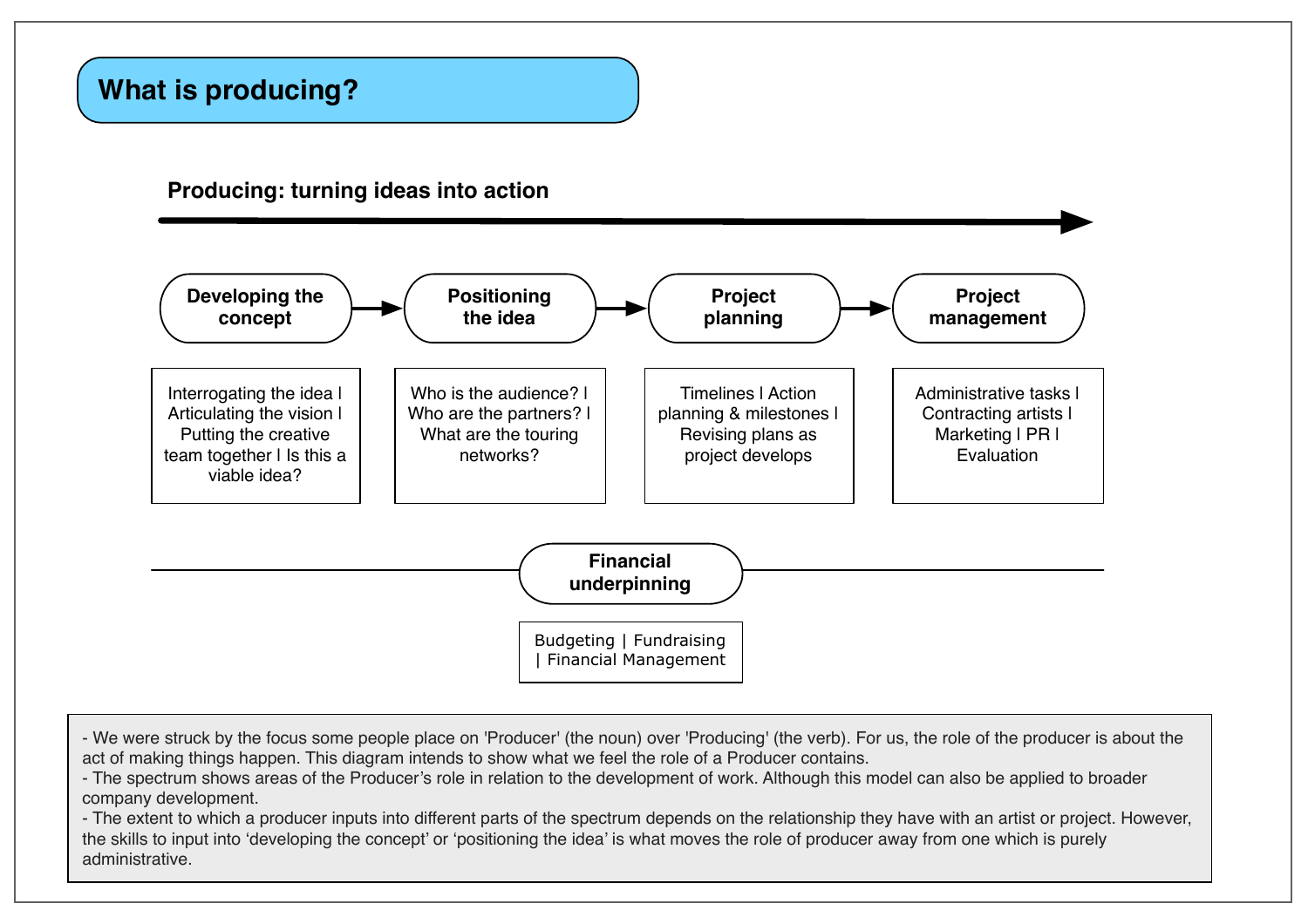### **What is producing?**

#### **Producing: turning ideas into action**



- We were struck by the focus some people place on 'Producer' (the noun) over 'Producing' (the verb). For us, the role of the producer is about the act of making things happen. This diagram intends to show what we feel the role of a Producer contains.
- The spectrum shows areas of the Producer's role in relation to the development of work. Although this model can also be applied to broader company development.

- The extent to which a producer inputs into different parts of the spectrum depends on the relationship they have with an artist or project. However, the skills to input into 'developing the concept' or 'positioning the idea' is what moves the role of producer away from one which is purely administrative.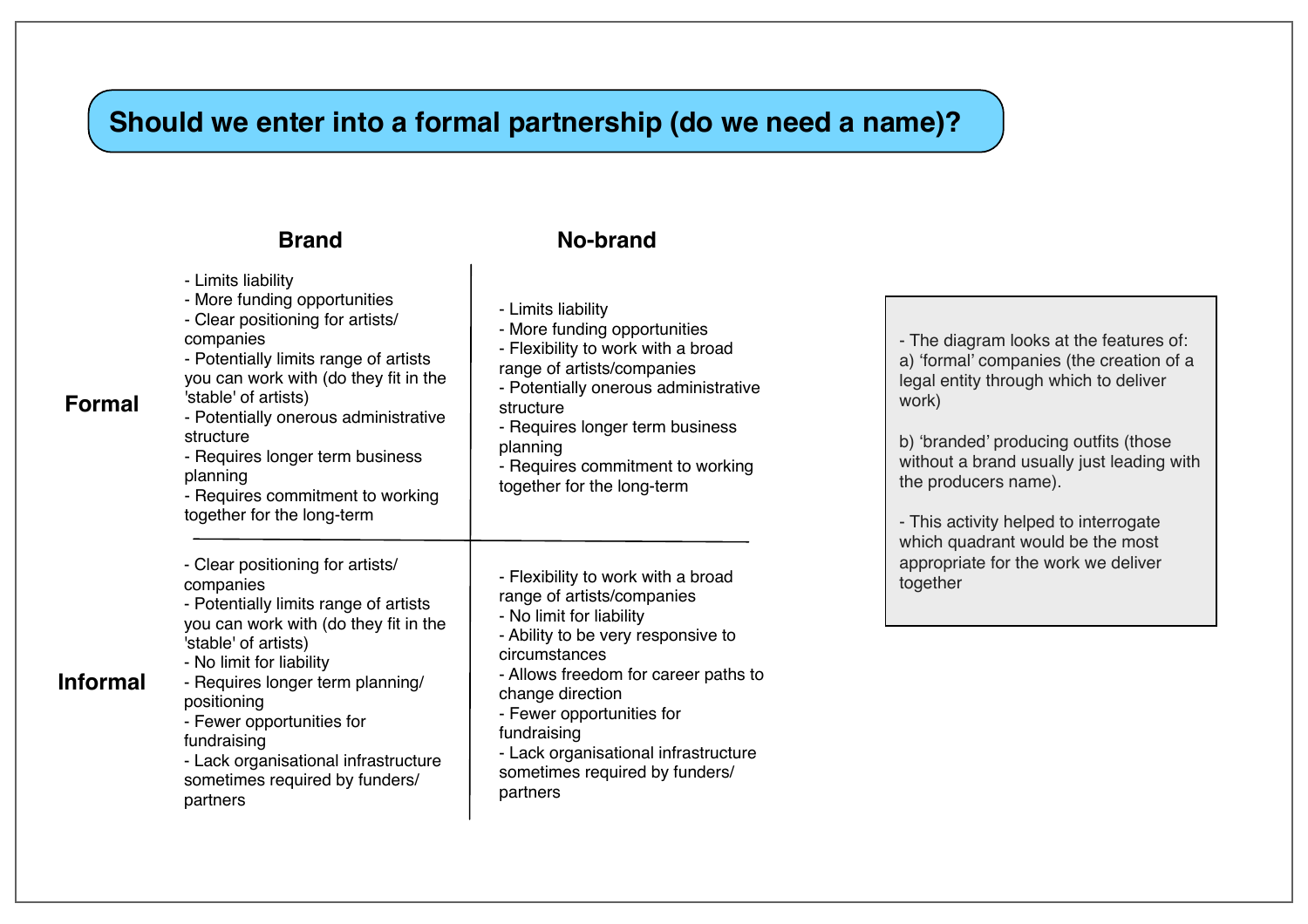## **Should we enter into a formal partnership (do we need a name)?**

#### **Brand No-brand**

| <b>Formal</b>   | - Limits liability<br>- More funding opportunities<br>- Clear positioning for artists/<br>companies<br>- Potentially limits range of artists<br>you can work with (do they fit in the<br>'stable' of artists)<br>- Potentially onerous administrative<br>structure<br>- Requires longer term business<br>planning<br>- Requires commitment to working<br>together for the long-term | - Limits liability<br>- More funding opportunities<br>- Flexibility to work with a broad<br>range of artists/companies<br>- Potentially onerous administrative<br>structure<br>- Requires longer term business<br>planning<br>- Requires commitment to working<br>together for the long-term                                                      | - The diagram looks at the features of:<br>a) 'formal' companies (the creation of a<br>legal entity through which to deliver<br>work)<br>b) 'branded' producing outfits (those<br>without a brand usually just leading with<br>the producers name).<br>- This activity helped to interrogate<br>which quadrant would be the most<br>appropriate for the work we deliver<br>together |
|-----------------|-------------------------------------------------------------------------------------------------------------------------------------------------------------------------------------------------------------------------------------------------------------------------------------------------------------------------------------------------------------------------------------|---------------------------------------------------------------------------------------------------------------------------------------------------------------------------------------------------------------------------------------------------------------------------------------------------------------------------------------------------|-------------------------------------------------------------------------------------------------------------------------------------------------------------------------------------------------------------------------------------------------------------------------------------------------------------------------------------------------------------------------------------|
| <b>Informal</b> | - Clear positioning for artists/<br>companies<br>- Potentially limits range of artists<br>you can work with (do they fit in the<br>'stable' of artists)<br>- No limit for liability<br>- Requires longer term planning/<br>positioning<br>- Fewer opportunities for<br>fundraising<br>- Lack organisational infrastructure<br>sometimes required by funders/<br>partners            | - Flexibility to work with a broad<br>range of artists/companies<br>- No limit for liability<br>- Ability to be very responsive to<br>circumstances<br>- Allows freedom for career paths to<br>change direction<br>- Fewer opportunities for<br>fundraising<br>- Lack organisational infrastructure<br>sometimes required by funders/<br>partners |                                                                                                                                                                                                                                                                                                                                                                                     |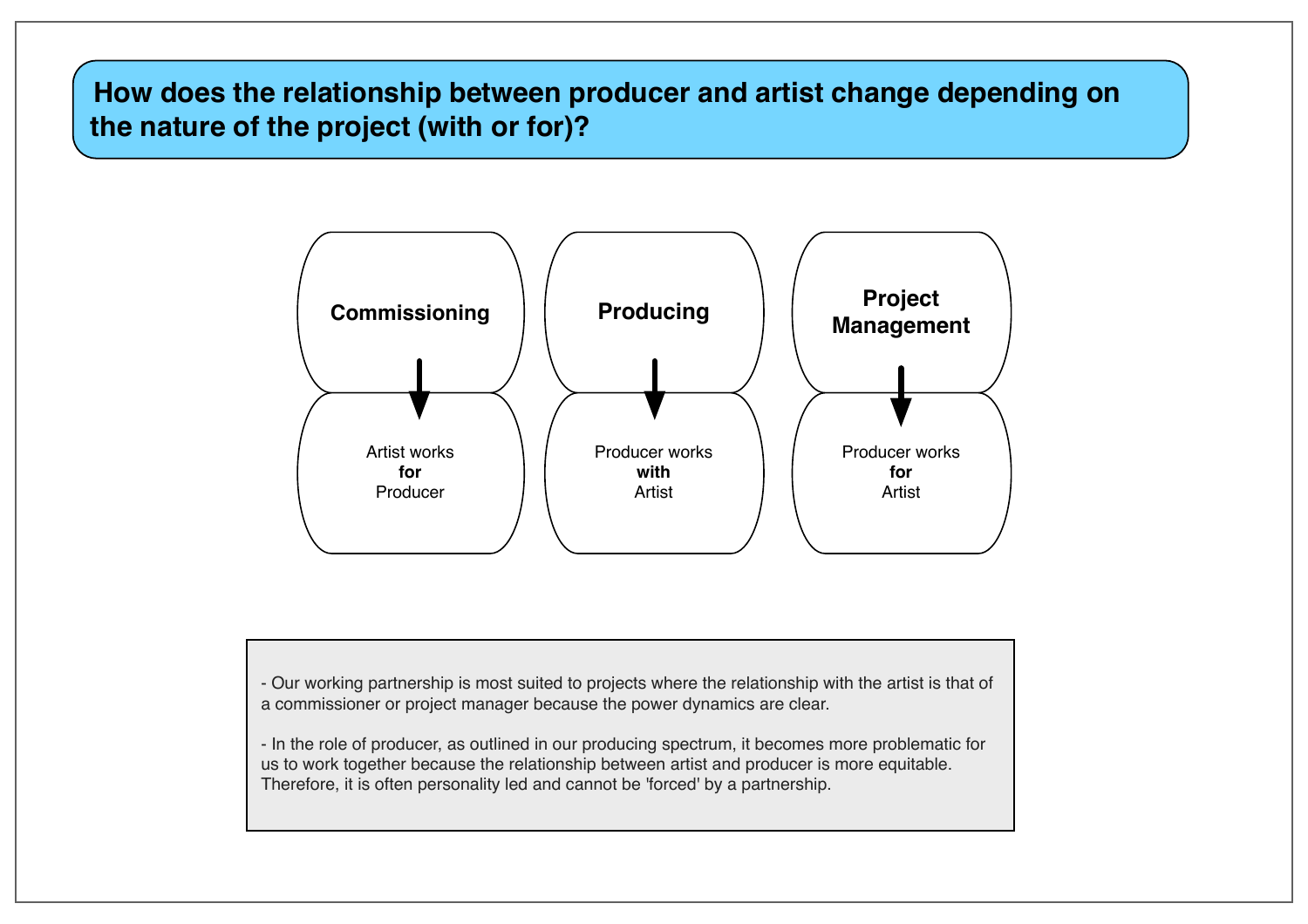### **How does the relationship between producer and artist change depending on the nature of the project (with or for)?**



- Our working partnership is most suited to projects where the relationship with the artist is that of a commissioner or project manager because the power dynamics are clear.

- In the role of producer, as outlined in our producing spectrum, it becomes more problematic for us to work together because the relationship between artist and producer is more equitable. Therefore, it is often personality led and cannot be 'forced' by a partnership.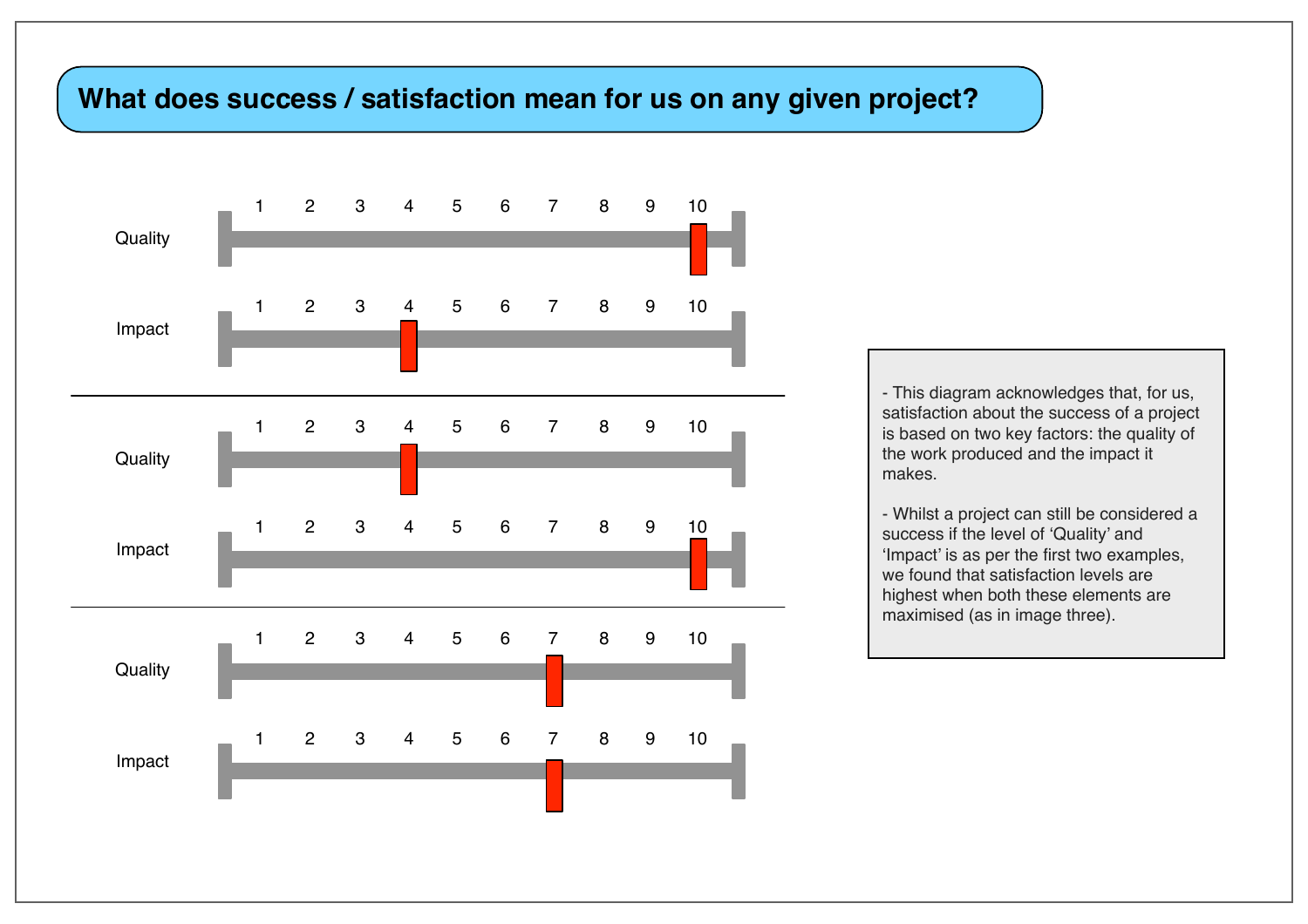#### **What does success / satisfaction mean for us on any given project?**

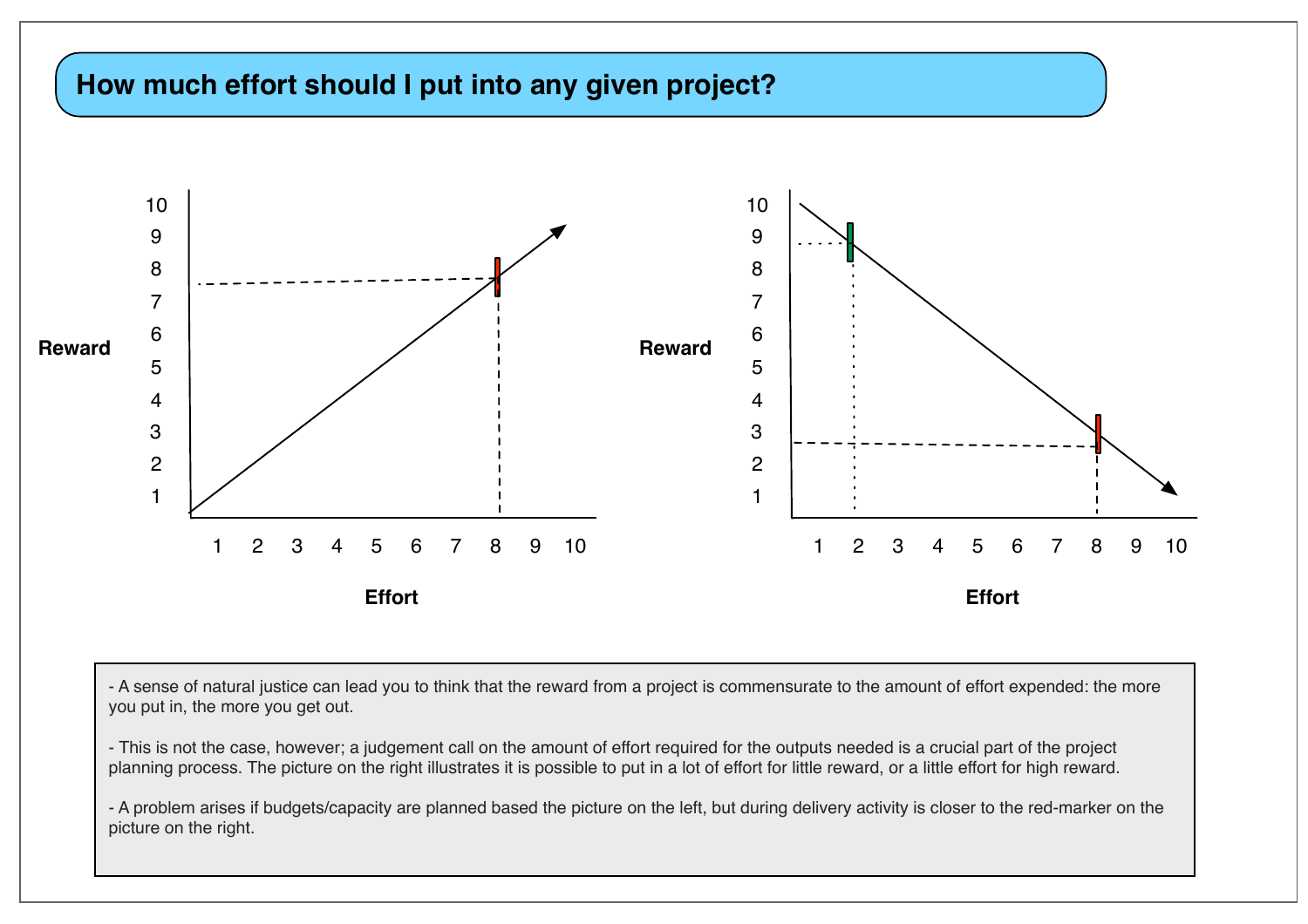#### **How much effort should I put into any given project?**



- A sense of natural justice can lead you to think that the reward from a project is commensurate to the amount of effort expended: the more you put in, the more you get out.

- This is not the case, however; a judgement call on the amount of effort required for the outputs needed is a crucial part of the project planning process. The picture on the right illustrates it is possible to put in a lot of effort for little reward, or a little effort for high reward.

- A problem arises if budgets/capacity are planned based the picture on the left, but during delivery activity is closer to the red-marker on the picture on the right.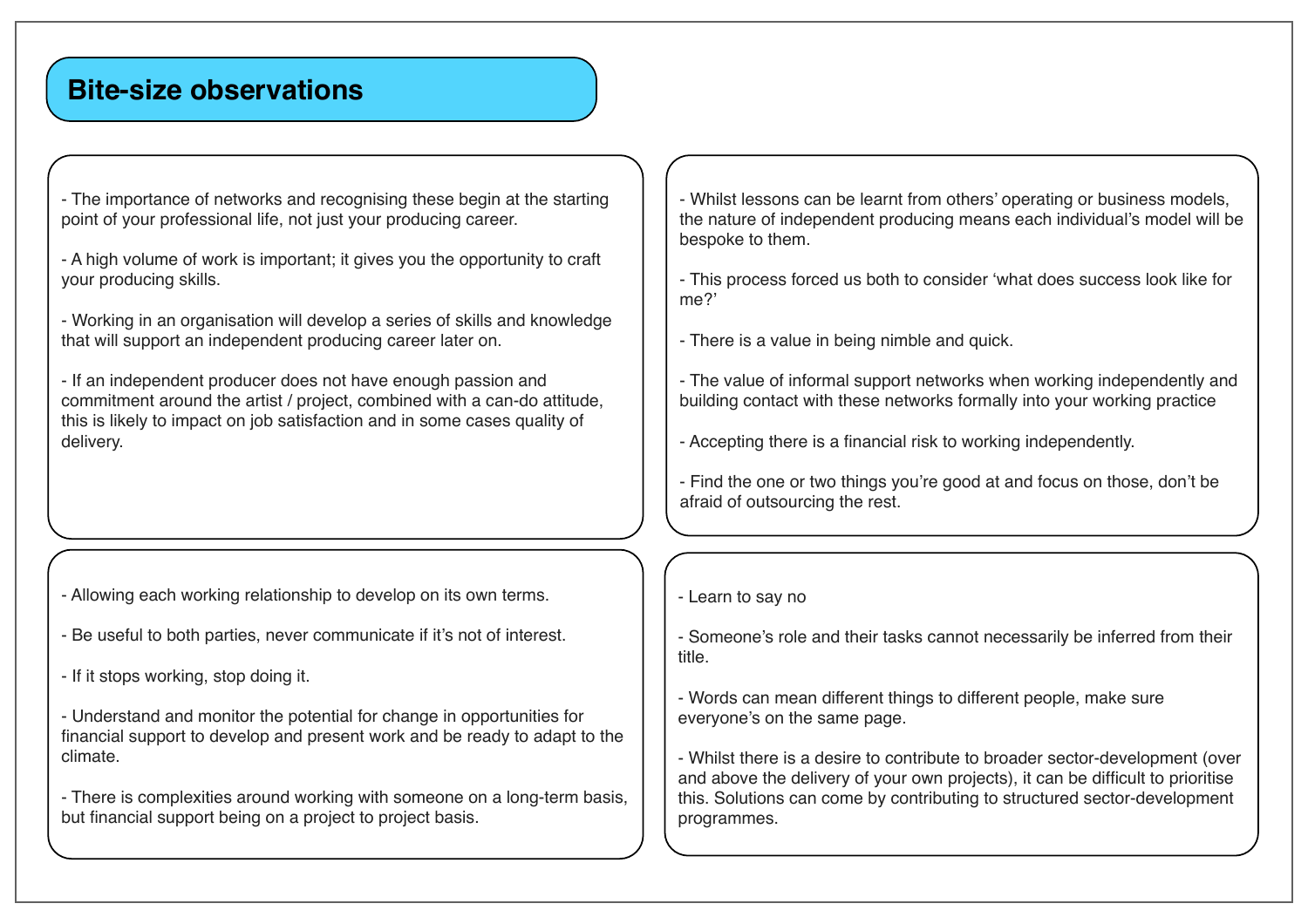#### **Bite-size observations**

- The importance of networks and recognising these begin at the starting point of your professional life, not just your producing career.

- A high volume of work is important; it gives you the opportunity to craft your producing skills.

- Working in an organisation will develop a series of skills and knowledge that will support an independent producing career later on.

- If an independent producer does not have enough passion and commitment around the artist / project, combined with a can-do attitude, this is likely to impact on job satisfaction and in some cases quality of delivery.

- Allowing each working relationship to develop on its own terms.

- Be useful to both parties, never communicate if it's not of interest.

- If it stops working, stop doing it.

- Understand and monitor the potential for change in opportunities for financial support to develop and present work and be ready to adapt to the climate.

- There is complexities around working with someone on a long-term basis, but financial support being on a project to project basis.

- Whilst lessons can be learnt from others' operating or business models, the nature of independent producing means each individual's model will be bespoke to them.

- This process forced us both to consider 'what does success look like for me?'

- There is a value in being nimble and quick.

- The value of informal support networks when working independently and building contact with these networks formally into your working practice

- Accepting there is a financial risk to working independently.

- Find the one or two things you're good at and focus on those, don't be afraid of outsourcing the rest.

- Learn to say no

- Someone's role and their tasks cannot necessarily be inferred from their title.

- Words can mean different things to different people, make sure everyone's on the same page.

- Whilst there is a desire to contribute to broader sector-development (over and above the delivery of your own projects), it can be difficult to prioritise this. Solutions can come by contributing to structured sector-development programmes.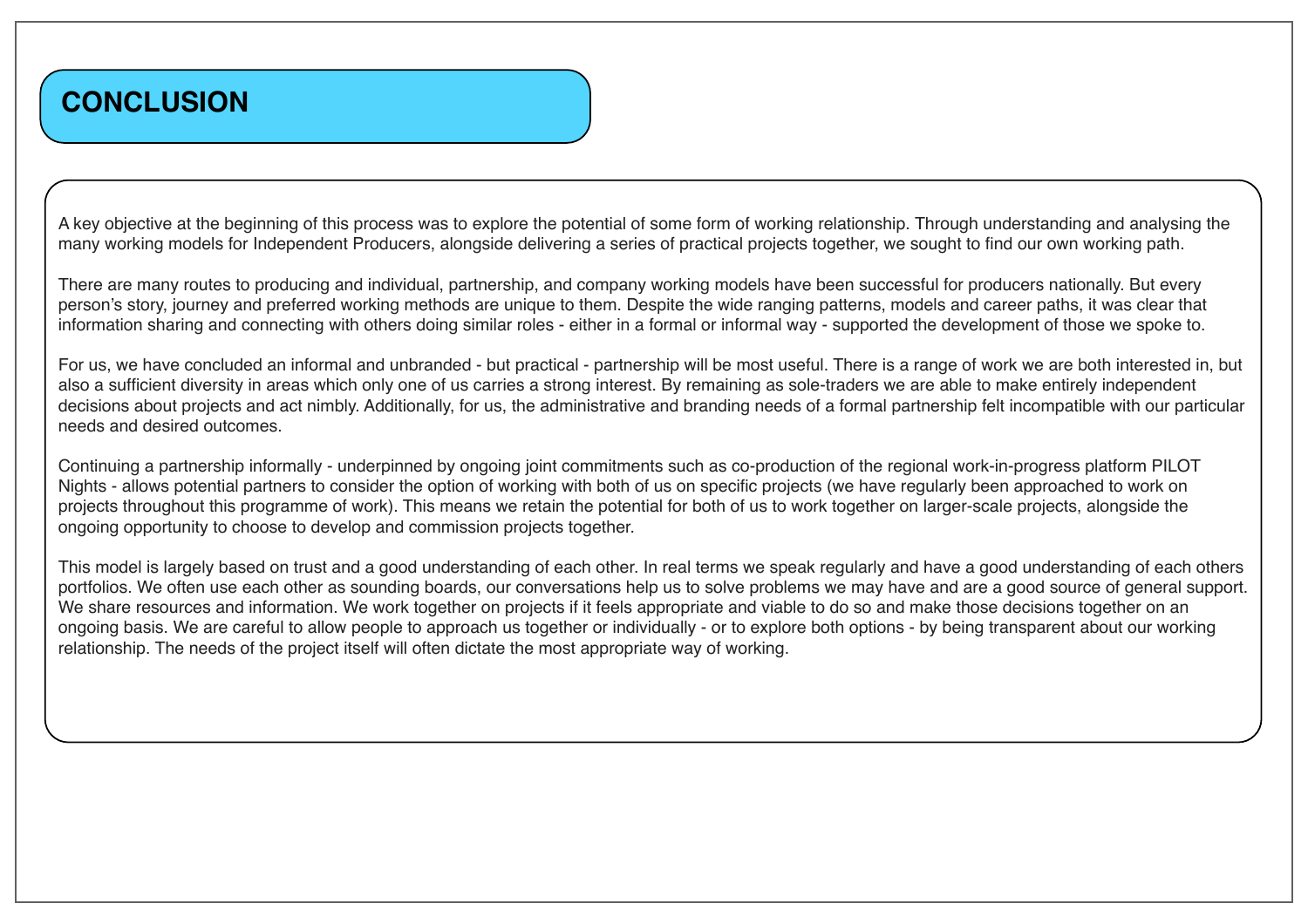### **CONCLUSION**

A key objective at the beginning of this process was to explore the potential of some form of working relationship. Through understanding and analysing the many working models for Independent Producers, alongside delivering a series of practical projects together, we sought to find our own working path.

There are many routes to producing and individual, partnership, and company working models have been successful for producers nationally. But every person's story, journey and preferred working methods are unique to them. Despite the wide ranging patterns, models and career paths, it was clear that information sharing and connecting with others doing similar roles - either in a formal or informal way - supported the development of those we spoke to.

For us, we have concluded an informal and unbranded - but practical - partnership will be most useful. There is a range of work we are both interested in, but also a sufficient diversity in areas which only one of us carries a strong interest. By remaining as sole-traders we are able to make entirely independent decisions about projects and act nimbly. Additionally, for us, the administrative and branding needs of a formal partnership felt incompatible with our particular needs and desired outcomes.

Continuing a partnership informally - underpinned by ongoing joint commitments such as co-production of the regional work-in-progress platform PILOT Nights - allows potential partners to consider the option of working with both of us on specific projects (we have regularly been approached to work on projects throughout this programme of work). This means we retain the potential for both of us to work together on larger-scale projects, alongside the ongoing opportunity to choose to develop and commission projects together.

This model is largely based on trust and a good understanding of each other. In real terms we speak regularly and have a good understanding of each others portfolios. We often use each other as sounding boards, our conversations help us to solve problems we may have and are a good source of general support. We share resources and information. We work together on projects if it feels appropriate and viable to do so and make those decisions together on an ongoing basis. We are careful to allow people to approach us together or individually - or to explore both options - by being transparent about our working relationship. The needs of the project itself will often dictate the most appropriate way of working.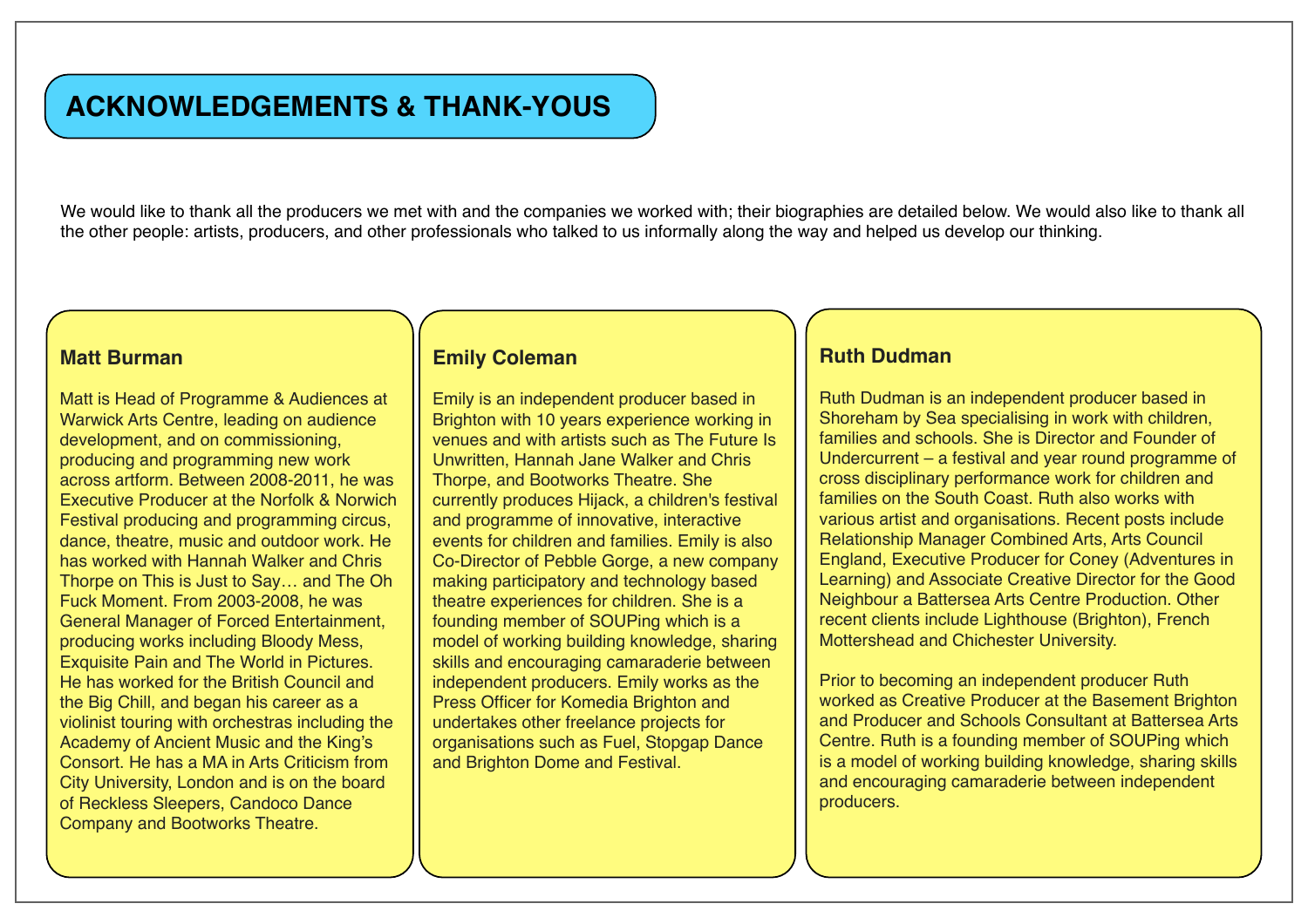### **ACKNOWLEDGEMENTS & THANK-YOUS**

We would like to thank all the producers we met with and the companies we worked with; their biographies are detailed below. We would also like to thank all the other people: artists, producers, and other professionals who talked to us informally along the way and helped us develop our thinking.

#### **Matt Burman**

Matt is Head of Programme & Audiences at Warwick Arts Centre, leading on audience development, and on commissioning, producing and programming new work across artform. Between 2008-2011, he was Executive Producer at the Norfolk & Norwich Festival producing and programming circus, dance, theatre, music and outdoor work. He has worked with Hannah Walker and Chris Thorpe on This is Just to Say… and The Oh Fuck Moment. From 2003-2008, he was General Manager of Forced Entertainment, producing works including Bloody Mess, Exquisite Pain and The World in Pictures. He has worked for the British Council and the Big Chill, and began his career as a violinist touring with orchestras including the Academy of Ancient Music and the King's Consort. He has a MA in Arts Criticism from City University, London and is on the board of Reckless Sleepers, Candoco Dance Company and Bootworks Theatre.

#### **Emily Coleman**

Emily is an independent producer based in Brighton with 10 years experience working in venues and with artists such as The Future Is Unwritten, Hannah Jane Walker and Chris Thorpe, and Bootworks Theatre. She currently produces Hijack, a children's festival and programme of innovative, interactive events for children and families. Emily is also Co-Director of Pebble Gorge, a new company making participatory and technology based theatre experiences for children. She is a founding member of SOUPing which is a model of working building knowledge, sharing skills and encouraging camaraderie between independent producers. Emily works as the Press Officer for Komedia Brighton and undertakes other freelance projects for organisations such as Fuel, Stopgap Dance and Brighton Dome and Festival.

#### **Ruth Dudman**

Ruth Dudman is an independent producer based in Shoreham by Sea specialising in work with children, families and schools. She is Director and Founder of Undercurrent – a festival and year round programme of cross disciplinary performance work for children and families on the South Coast. Ruth also works with various artist and organisations. Recent posts include Relationship Manager Combined Arts, Arts Council England, Executive Producer for Coney (Adventures in Learning) and Associate Creative Director for the Good Neighbour a Battersea Arts Centre Production. Other recent clients include Lighthouse (Brighton), French Mottershead and Chichester University.

Prior to becoming an independent producer Ruth worked as Creative Producer at the Basement Brighton and Producer and Schools Consultant at Battersea Arts Centre. Ruth is a founding member of SOUPing which is a model of working building knowledge, sharing skills and encouraging camaraderie between independent producers.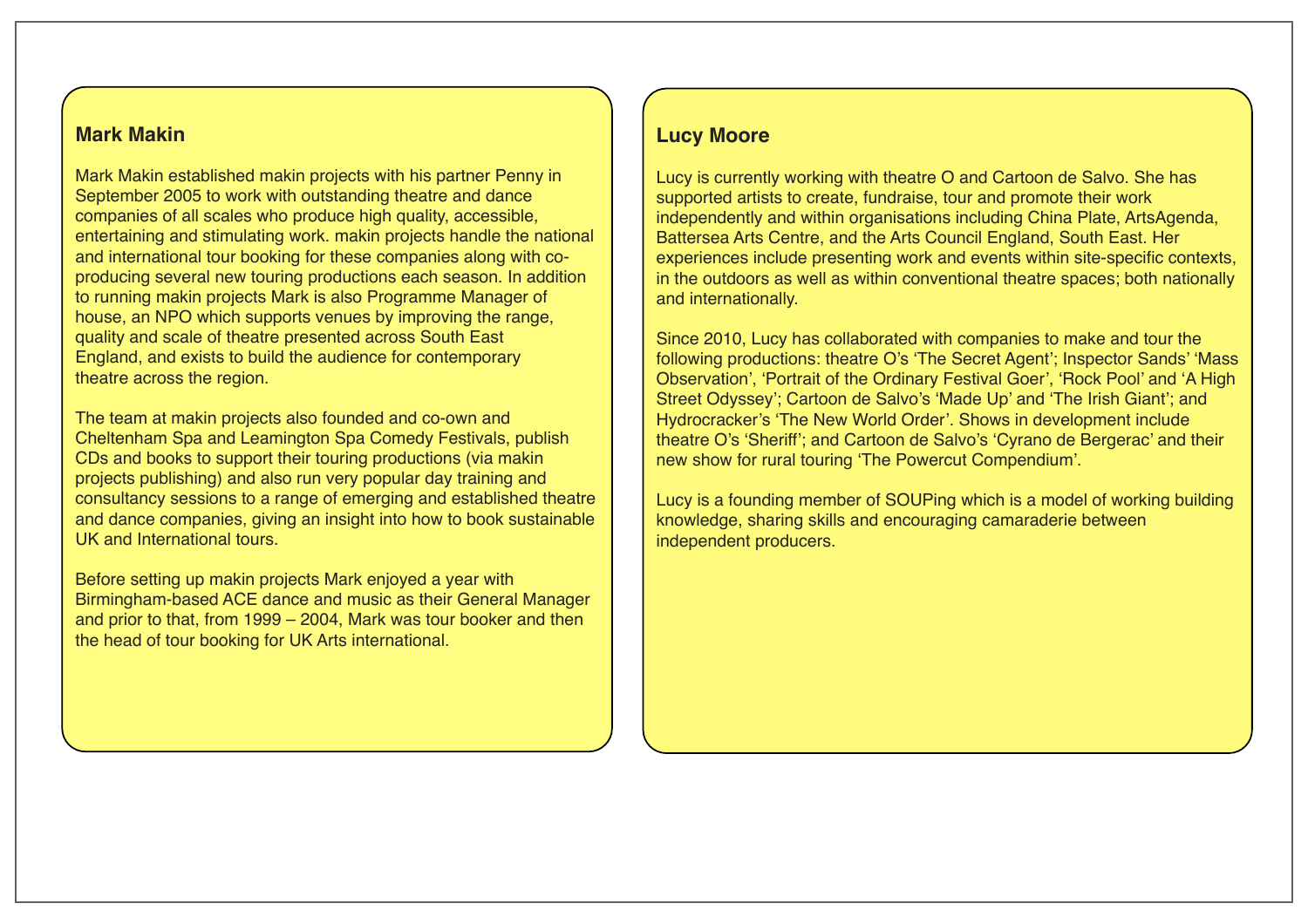#### **Mark Makin**

Mark Makin established makin projects with his partner Penny in September 2005 to work with outstanding theatre and dance companies of all scales who produce high quality, accessible, entertaining and stimulating work. makin projects handle the national and international tour booking for these companies along with coproducing several new touring productions each season. In addition to running makin projects Mark is also Programme Manager of house, an NPO which supports venues by improving the range, quality and scale of theatre presented across South East England, and exists to build the audience for contemporary theatre across the region.

The team at makin projects also founded and co-own and Cheltenham Spa and Leamington Spa Comedy Festivals, publish CDs and books to support their touring productions (via makin projects publishing) and also run very popular day training and consultancy sessions to a range of emerging and established theatre and dance companies, giving an insight into how to book sustainable UK and International tours.

Before setting up makin projects Mark enjoyed a year with Birmingham-based ACE dance and music as their General Manager and prior to that, from 1999 – 2004, Mark was tour booker and then the head of tour booking for UK Arts international.

#### **Lucy Moore**

Lucy is currently working with theatre O and Cartoon de Salvo. She has supported artists to create, fundraise, tour and promote their work independently and within organisations including China Plate, ArtsAgenda, Battersea Arts Centre, and the Arts Council England, South East. Her experiences include presenting work and events within site-specific contexts, in the outdoors as well as within conventional theatre spaces; both nationally and internationally.

Since 2010, Lucy has collaborated with companies to make and tour the following productions: theatre O's 'The Secret Agent'; Inspector Sands' 'Mass Observation', 'Portrait of the Ordinary Festival Goer', 'Rock Pool' and 'A High Street Odyssey'; Cartoon de Salvo's 'Made Up' and 'The Irish Giant'; and Hydrocracker's 'The New World Order'. Shows in development include theatre O's 'Sheriff'; and Cartoon de Salvo's 'Cyrano de Bergerac' and their new show for rural touring 'The Powercut Compendium'.

Lucy is a founding member of SOUPing which is a model of working building knowledge, sharing skills and encouraging camaraderie between independent producers.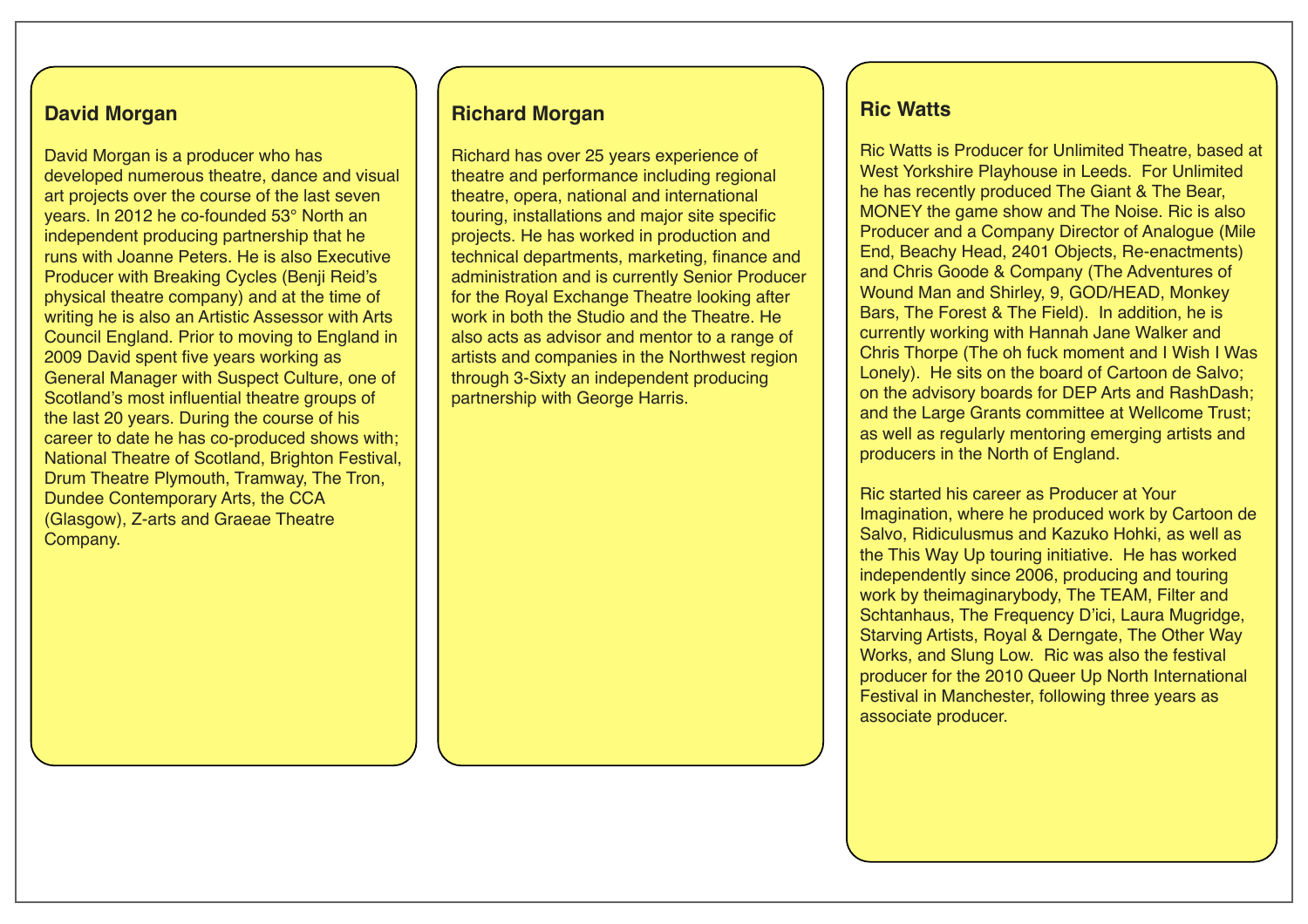#### **David Morgan**

David Morgan is a producer who has developed numerous theatre, dance and visual art projects over the course of the last seven years. In 2012 he co-founded 53° North an independent producing partnership that he runs with Joanne Peters. He is also Executive Producer with Breaking Cycles (Benji Reid's physical theatre company) and at the time of writing he is also an Artistic Assessor with Arts Council England. Prior to moving to England in 2009 David spent five years working as General Manager with Suspect Culture, one of Scotland's most influential theatre groups of the last 20 years. During the course of his career to date he has co-produced shows with; National Theatre of Scotland, Brighton Festival, Drum Theatre Plymouth, Tramway, The Tron, Dundee Contemporary Arts, the CCA (Glasgow), Z-arts and Graeae Theatre Company.

#### **Richard Morgan**

Richard has over 25 years experience of theatre and performance including regional theatre, opera, national and international touring, installations and major site specific projects. He has worked in production and technical departments, marketing, finance and administration and is currently Senior Producer for the Royal Exchange Theatre looking after work in both the Studio and the Theatre. He also acts as advisor and mentor to a range of artists and companies in the Northwest region through 3-Sixty an independent producing partnership with George Harris.

#### **Ric Watts**

Ric Watts is Producer for Unlimited Theatre, based at West Yorkshire Playhouse in Leeds. For Unlimited he has recently produced The Giant & The Bear, MONEY the game show and The Noise. Ric is also Producer and a Company Director of Analogue (Mile End, Beachy Head, 2401 Objects, Re-enactments) and Chris Goode & Company (The Adventures of Wound Man and Shirley, 9, GOD/HEAD, Monkey Bars, The Forest & The Field). In addition, he is currently working with Hannah Jane Walker and Chris Thorpe (The oh fuck moment and I Wish I Was Lonely). He sits on the board of Cartoon de Salvo; on the advisory boards for DEP Arts and RashDash; and the Large Grants committee at Wellcome Trust; as well as regularly mentoring emerging artists and producers in the North of England.

Ric started his career as Producer at Your Imagination, where he produced work by Cartoon de Salvo, Ridiculusmus and Kazuko Hohki, as well as the This Way Up touring initiative. He has worked independently since 2006, producing and touring work by theimaginarybody, The TEAM, Filter and Schtanhaus, The Frequency D'ici, Laura Mugridge, Starving Artists, Royal & Derngate, The Other Way Works, and Slung Low. Ric was also the festival producer for the 2010 Queer Up North International Festival in Manchester, following three years as associate producer.